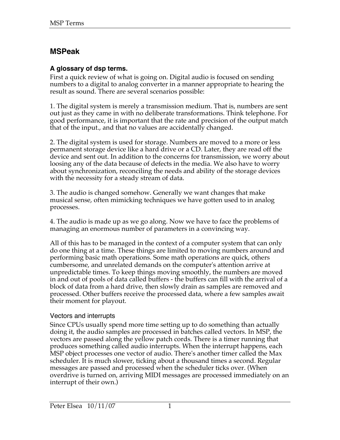# **MSPeak**

## **A glossary of dsp terms.**

First a quick review of what is going on. Digital audio is focused on sending numbers to a digital to analog converter in a manner appropriate to hearing the result as sound. There are several scenarios possible:

1. The digital system is merely a transmission medium. That is, numbers are sent out just as they came in with no deliberate transformations. Think telephone. For good performance, it is important that the rate and precision of the output match that of the input., and that no values are accidentally changed.

2. The digital system is used for storage. Numbers are moved to a more or less permanent storage device like a hard drive or a CD. Later, they are read off the device and sent out. In addition to the concerns for transmission, we worry about loosing any of the data because of defects in the media. We also have to worry about synchronization, reconciling the needs and ability of the storage devices with the necessity for a steady stream of data.

3. The audio is changed somehow. Generally we want changes that make musical sense, often mimicking techniques we have gotten used to in analog processes.

4. The audio is made up as we go along. Now we have to face the problems of managing an enormous number of parameters in a convincing way.

All of this has to be managed in the context of a computer system that can only do one thing at a time. These things are limited to moving numbers around and performing basic math operations. Some math operations are quick, others cumbersome, and unrelated demands on the computer's attention arrive at unpredictable times. To keep things moving smoothly, the numbers are moved in and out of pools of data called buffers - the buffers can fill with the arrival of a block of data from a hard drive, then slowly drain as samples are removed and processed. Other buffers receive the processed data, where a few samples await their moment for playout.

### Vectors and interrupts

Since CPUs usually spend more time setting up to do something than actually doing it, the audio samples are processed in batches called vectors. In MSP, the vectors are passed along the yellow patch cords. There is a timer running that produces something called audio interrupts. When the interrupt happens, each MSP object processes one vector of audio. There's another timer called the Max scheduler. It is much slower, ticking about a thousand times a second. Regular messages are passed and processed when the scheduler ticks over. (When overdrive is turned on, arriving MIDI messages are processed immediately on an interrupt of their own.)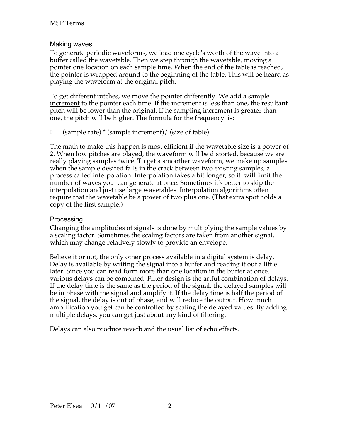### Making waves

To generate periodic waveforms, we load one cycle's worth of the wave into a buffer called the wavetable. Then we step through the wavetable, moving a pointer one location on each sample time. When the end of the table is reached, the pointer is wrapped around to the beginning of the table. This will be heard as playing the waveform at the original pitch.

To get different pitches, we move the pointer differently. We add a sample increment to the pointer each time. If the increment is less than one, the resultant pitch will be lower than the original. If he sampling increment is greater than one, the pitch will be higher. The formula for the frequency is:

 $F = (sample rate) * (sample increment) / (size of table)$ 

The math to make this happen is most efficient if the wavetable size is a power of 2. When low pitches are played, the waveform will be distorted, because we are really playing samples twice. To get a smoother waveform, we make up samples when the sample desired falls in the crack between two existing samples, a process called interpolation. Interpolation takes a bit longer, so it will limit the number of waves you can generate at once. Sometimes it's better to skip the interpolation and just use large wavetables. Interpolation algorithms often require that the wavetable be a power of two plus one. (That extra spot holds a copy of the first sample.)

### **Processing**

Changing the amplitudes of signals is done by multiplying the sample values by a scaling factor. Sometimes the scaling factors are taken from another signal, which may change relatively slowly to provide an envelope.

Believe it or not, the only other process available in a digital system is delay. Delay is available by writing the signal into a buffer and reading it out a little later. Since you can read form more than one location in the buffer at once, various delays can be combined. Filter design is the artful combination of delays. If the delay time is the same as the period of the signal, the delayed samples will be in phase with the signal and amplify it. If the delay time is half the period of the signal, the delay is out of phase, and will reduce the output. How much amplification you get can be controlled by scaling the delayed values. By adding multiple delays, you can get just about any kind of filtering.

Delays can also produce reverb and the usual list of echo effects.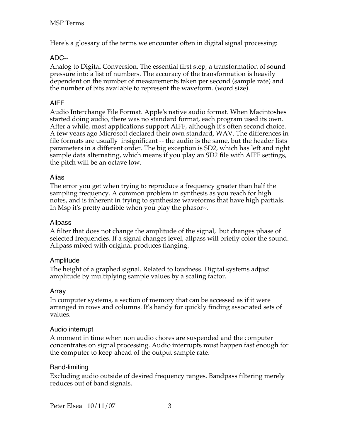Here's a glossary of the terms we encounter often in digital signal processing:

### ADC--

Analog to Digital Conversion. The essential first step, a transformation of sound pressure into a list of numbers. The accuracy of the transformation is heavily dependent on the number of measurements taken per second (sample rate) and the number of bits available to represent the waveform. (word size).

## AIFF

Audio Interchange File Format. Apple's native audio format. When Macintoshes started doing audio, there was no standard format, each program used its own. After a while, most applications support AIFF, although it's often second choice. A few years ago Microsoft declared their own standard, WAV. The differences in file formats are usually insignificant -- the audio is the same, but the header lists parameters in a different order. The big exception is SD2, which has left and right sample data alternating, which means if you play an SD2 file with AIFF settings, the pitch will be an octave low.

#### Alias

The error you get when trying to reproduce a frequency greater than half the sampling frequency. A common problem in synthesis as you reach for high notes, and is inherent in trying to synthesize waveforms that have high partials. In Msp it's pretty audible when you play the phasor~.

#### Allpass

A filter that does not change the amplitude of the signal, but changes phase of selected frequencies. If a signal changes level, allpass will briefly color the sound. Allpass mixed with original produces flanging.

### Amplitude

The height of a graphed signal. Related to loudness. Digital systems adjust amplitude by multiplying sample values by a scaling factor.

### Array

In computer systems, a section of memory that can be accessed as if it were arranged in rows and columns. It's handy for quickly finding associated sets of values.

### Audio interrupt

A moment in time when non audio chores are suspended and the computer concentrates on signal processing. Audio interrupts must happen fast enough for the computer to keep ahead of the output sample rate.

#### Band-limiting

Excluding audio outside of desired frequency ranges. Bandpass filtering merely reduces out of band signals.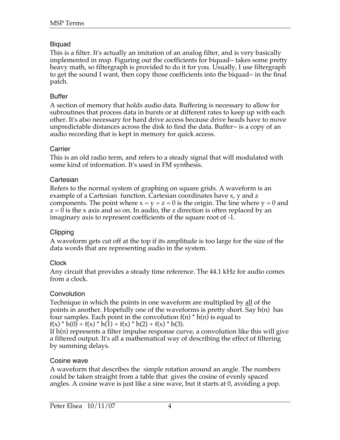## Biquad

This is a filter. It's actually an imitation of an analog filter, and is very basically implemented in msp. Figuring out the coefficients for biquad~ takes some pretty heavy math, so filtergraph is provided to do it for you. Usually, I use filtergraph to get the sound I want, then copy those coefficients into the biquad~ in the final patch.

## Buffer

A section of memory that holds audio data. Buffering is necessary to allow for subroutines that process data in bursts or at different rates to keep up with each other. It's also necessary for hard drive access because drive heads have to move unpredictable distances across the disk to find the data. Buffer~ is a copy of an audio recording that is kept in memory for quick access.

## Carrier

This is an old radio term, and refers to a steady signal that will modulated with some kind of information. It's used in FM synthesis.

## **Cartesian**

Refers to the normal system of graphing on square grids. A waveform is an example of a Cartesian function. Cartesian coordinates have x, y and z components. The point where  $x = y = z = 0$  is the origin. The line where  $y = 0$  and  $z = 0$  is the x axis and so on. In audio, the z direction is often replaced by an imaginary axis to represent coefficients of the square root of -1.

### Clipping

A waveform gets cut off at the top if its amplitude is too large for the size of the data words that are representing audio in the system.

## **Clock**

Any circuit that provides a steady time reference. The 44.1 kHz for audio comes from a clock.

## Convolution

Technique in which the points in one waveform are multiplied by all of the points in another. Hopefully one of the waveforms is pretty short. Say h(n) has four samples. Each point in the convolution  $f(n) * h(n)$  is equal to  $f(x) * h(0) + f(x) * h(1) + f(x) * h(2) + f(x) * h(3).$ 

If h(n) represents a filter impulse response curve, a convolution like this will give a filtered output. It's all a mathematical way of describing the effect of filtering by summing delays.

### Cosine wave

A waveform that describes the simple rotation around an angle. The numbers could be taken straight from a table that gives the cosine of evenly spaced angles. A cosine wave is just like a sine wave, but it starts at 0, avoiding a pop.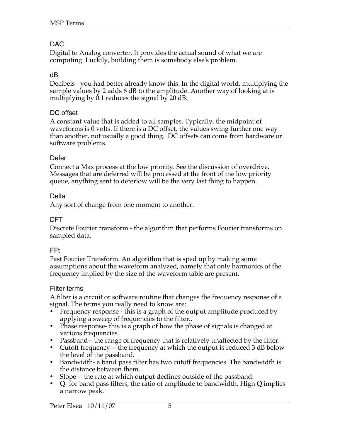## DAC

Digital to Analog converter. It provides the actual sound of what we are computing. Luckily, building them is somebody else's problem.

#### dB

Decibels - you had better already know this. In the digital world, multiplying the sample values by 2 adds 6 dB to the amplitude. Another way of looking at is multiplying by 0.1 reduces the signal by 20 dB.

#### DC offset

A constant value that is added to all samples. Typically, the midpoint of waveforms is 0 volts. If there is a DC offset, the values swing further one way than another, not usually a good thing. DC offsets can come from hardware or software problems.

#### Defer

Connect a Max process at the low priority. See the discussion of overdrive. Messages that are deferred will be processed at the front of the low priority queue, anything sent to deferlow will be the very last thing to happen.

#### Delta

Any sort of change from one moment to another.

#### DFT

Discrete Fourier transform - the algorithm that performs Fourier transforms on sampled data.

#### FFt

Fast Fourier Transform. An algorithm that is sped up by making some assumptions about the waveform analyzed, namely that only harmonics of the frequency implied by the size of the waveform table are present.

#### Filter terms

A filter is a circuit or software routine that changes the frequency response of a signal. The terms you really need to know are:

- Frequency response this is a graph of the output amplitude produced by applying a sweep of frequencies to the filter..
- Phase response-this is a graph of how the phase of signals is changed at various frequencies.
- Passband-- the range of frequency that is relatively unaffected by the filter.
- Cutoff frequency -- the frequency at which the output is reduced 3 dB below the level of the passband.
- Bandwidth- a band pass filter has two cutoff frequencies. The bandwidth is the distance between them.
- Slope -- the rate at which output declines outside of the passband.
- Q- for band pass filters, the ratio of amplitude to bandwidth. High Q implies a narrow peak.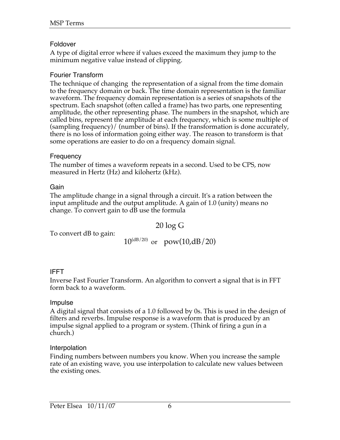## Foldover

A type of digital error where if values exceed the maximum they jump to the minimum negative value instead of clipping.

## Fourier Transform

The technique of changing the representation of a signal from the time domain to the frequency domain or back. The time domain representation is the familiar waveform. The frequency domain representation is a series of snapshots of the spectrum. Each snapshot (often called a frame) has two parts, one representing amplitude, the other representing phase. The numbers in the snapshot, which are called bins, represent the amplitude at each frequency, which is some multiple of (sampling frequency)/ (number of bins). If the transformation is done accurately, there is no loss of information going either way. The reason to transform is that some operations are easier to do on a frequency domain signal.

### **Frequency**

The number of times a waveform repeats in a second. Used to be CPS, now measured in Hertz (Hz) and kilohertz (kHz).

Gain

The amplitude change in a signal through a circuit. It's a ration between the input amplitude and the output amplitude. A gain of 1.0 (unity) means no change. To convert gain to dB use the formula

20 log G

To convert dB to gain:

 $10^{(dB/20)}$  or pow(10,dB/20)

## IFFT

Inverse Fast Fourier Transform. An algorithm to convert a signal that is in FFT form back to a waveform.

### Impulse

A digital signal that consists of a 1.0 followed by 0s. This is used in the design of filters and reverbs. Impulse response is a waveform that is produced by an impulse signal applied to a program or system. (Think of firing a gun in a church.)

### Interpolation

Finding numbers between numbers you know. When you increase the sample rate of an existing wave, you use interpolation to calculate new values between the existing ones.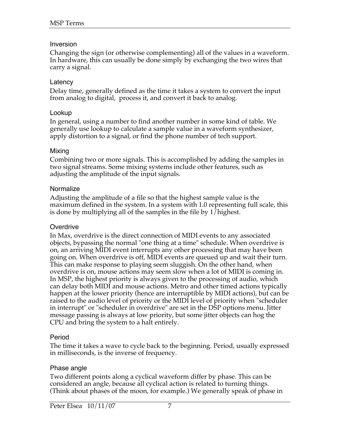#### Inversion

Changing the sign (or otherwise complementing) all of the values in a waveform. In hardware, this can usually be done simply by exchanging the two wires that carry a signal.

#### **Latency**

Delay time, generally defined as the time it takes a system to convert the input from analog to digital, process it, and convert it back to analog.

#### Lookup

In general, using a number to find another number in some kind of table. We generally use lookup to calculate a sample value in a waveform synthesizer, apply distortion to a signal, or find the phone number of tech support.

#### Mixing

Combining two or more signals. This is accomplished by adding the samples in two signal streams. Some mixing systems include other features, such as adjusting the amplitude of the input signals.

#### **Normalize**

Adjusting the amplitude of a file so that the highest sample value is the maximum defined in the system. In a system with 1.0 representing full scale, this is done by multiplying all of the samples in the file by 1/highest.

### **Overdrive**

In Max, overdrive is the direct connection of MIDI events to any associated objects, bypassing the normal "one thing at a time" schedule. When overdrive is on, an arriving MIDI event interrupts any other processing that may have been going on. When overdrive is off, MIDI events are queued up and wait their turn. This can make response to playing seem sluggish. On the other hand, when overdrive is on, mouse actions may seem slow when a lot of MIDI is coming in. In MSP, the highest priority is always given to the processing of audio, which can delay both MIDI and mouse actions. Metro and other timed actions typically happen at the lower priority (hence are interruptible by MIDI actions), but can be raised to the audio level of priority or the MIDI level of priority when "scheduler in interrupt" or "scheduler in overdrive" are set in the DSP options menu. Jitter message passing is always at low priority, but some jitter objects can hog the CPU and bring the system to a halt entirely.

### Period

The time it takes a wave to cycle back to the beginning. Period, usually expressed in milliseconds, is the inverse of frequency.

#### Phase angle

Two different points along a cyclical waveform differ by phase. This can be considered an angle, because all cyclical action is related to turning things. (Think about phases of the moon, for example.) We generally speak of phase in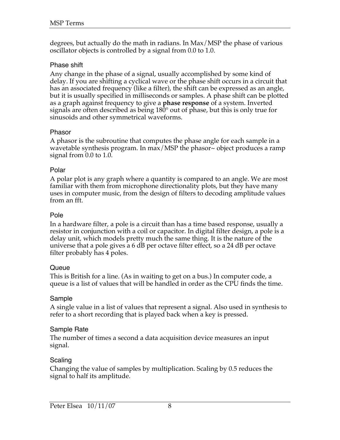degrees, but actually do the math in radians. In Max/MSP the phase of various oscillator objects is controlled by a signal from 0.0 to 1.0.

#### Phase shift

Any change in the phase of a signal, usually accomplished by some kind of delay. If you are shifting a cyclical wave or the phase shift occurs in a circuit that has an associated frequency (like a filter), the shift can be expressed as an angle, but it is usually specified in milliseconds or samples. A phase shift can be plotted as a graph against frequency to give a **phase response** of a system. Inverted signals are often described as being 180° out of phase, but this is only true for sinusoids and other symmetrical waveforms.

#### Phasor

A phasor is the subroutine that computes the phase angle for each sample in a wavetable synthesis program. In max/MSP the phasor~ object produces a ramp signal from 0.0 to 1.0.

#### Polar

A polar plot is any graph where a quantity is compared to an angle. We are most familiar with them from microphone directionality plots, but they have many uses in computer music, from the design of filters to decoding amplitude values from an fft.

### Pole

In a hardware filter, a pole is a circuit than has a time based response, usually a resistor in conjunction with a coil or capacitor. In digital filter design, a pole is a delay unit, which models pretty much the same thing. It is the nature of the universe that a pole gives a 6 dB per octave filter effect, so a 24 dB per octave filter probably has 4 poles.

#### Queue

This is British for a line. (As in waiting to get on a bus.) In computer code, a queue is a list of values that will be handled in order as the CPU finds the time.

### Sample

A single value in a list of values that represent a signal. Also used in synthesis to refer to a short recording that is played back when a key is pressed.

### Sample Rate

The number of times a second a data acquisition device measures an input signal.

### Scaling

Changing the value of samples by multiplication. Scaling by 0.5 reduces the signal to half its amplitude.